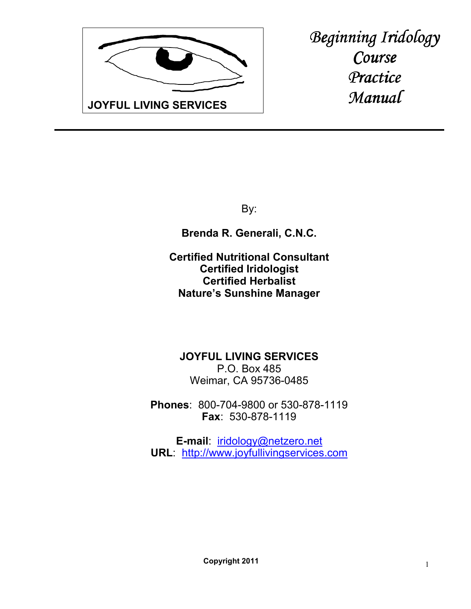

*Beginning Iridology Course Practice Manual* 

By:

**Brenda R. Generali, C.N.C.**

**Certified Nutritional Consultant Certified Iridologist Certified Herbalist Nature's Sunshine Manager**

**JOYFUL LIVING SERVICES** P.O. Box 485 Weimar, CA 95736-0485

**Phones**: 800-704-9800 or 530-878-1119 **Fax**: 530-878-1119

**E-mail**: iridology@netzero.net **URL**: http://www.joyfullivingservices.com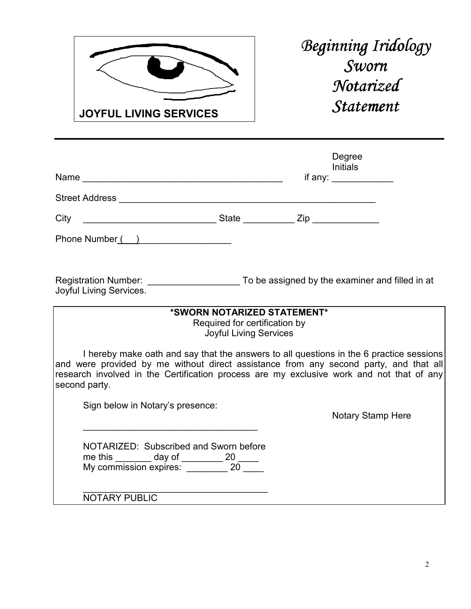

*Beginning Iridology Sworn Notarized Statement Statement* 

|                                                                                                                                                                                                                                                                                               |                                                                                               | Degree<br><b>Initials</b><br>if any: $\frac{1}{2}$ |  |
|-----------------------------------------------------------------------------------------------------------------------------------------------------------------------------------------------------------------------------------------------------------------------------------------------|-----------------------------------------------------------------------------------------------|----------------------------------------------------|--|
|                                                                                                                                                                                                                                                                                               |                                                                                               |                                                    |  |
|                                                                                                                                                                                                                                                                                               |                                                                                               |                                                    |  |
| Phone Number ( )                                                                                                                                                                                                                                                                              |                                                                                               |                                                    |  |
| Registration Number: To be assigned by the examiner and filled in at<br>Joyful Living Services.                                                                                                                                                                                               |                                                                                               |                                                    |  |
|                                                                                                                                                                                                                                                                                               | *SWORN NOTARIZED STATEMENT*<br>Required for certification by<br><b>Joyful Living Services</b> |                                                    |  |
| I hereby make oath and say that the answers to all questions in the 6 practice sessions<br>and were provided by me without direct assistance from any second party, and that all<br>research involved in the Certification process are my exclusive work and not that of any<br>second party. |                                                                                               |                                                    |  |
| Sign below in Notary's presence:                                                                                                                                                                                                                                                              |                                                                                               | Notary Stamp Here                                  |  |
| NOTARIZED: Subscribed and Sworn before<br>me this _______ day of ________ 20 _____<br>My commission expires: _________ 20 ____                                                                                                                                                                |                                                                                               |                                                    |  |
| <b>NOTARY PUBLIC</b>                                                                                                                                                                                                                                                                          |                                                                                               |                                                    |  |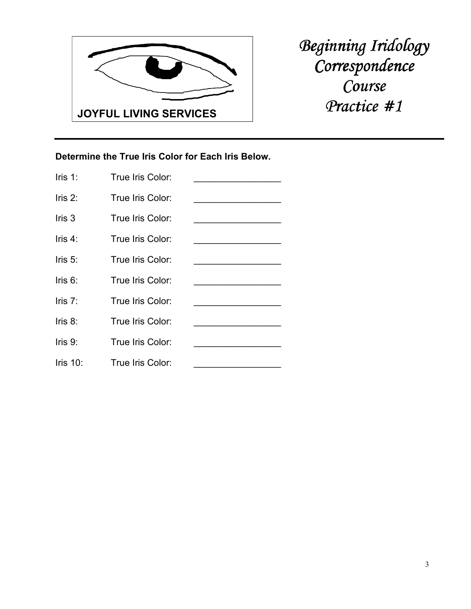

## **Determine the True Iris Color for Each Iris Below.**

| Iris $1$ :  | True Iris Color: |  |
|-------------|------------------|--|
| $l$ ris 2:  | True Iris Color: |  |
| $l$ ris $3$ | True Iris Color: |  |
| $l$ ris 4:  | True Iris Color: |  |
| $l$ ris 5:  | True Iris Color: |  |
| $l$ ris 6:  | True Iris Color: |  |
| Iris $7$ :  | True Iris Color: |  |
| lris 8:     | True Iris Color: |  |
| Iris $9$ :  | True Iris Color: |  |
| Iris $10$ : | True Iris Color: |  |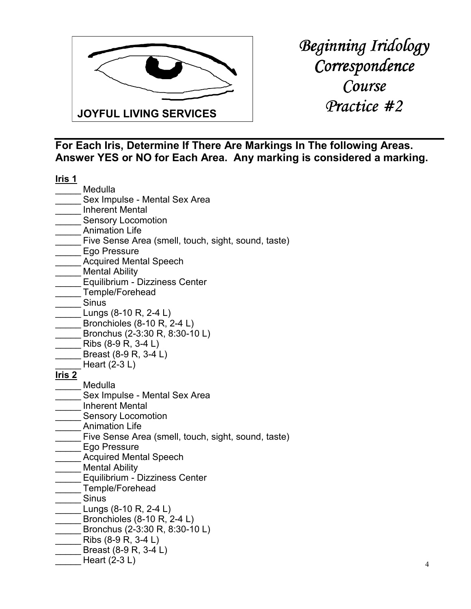

| Iris 1        |                                                      |
|---------------|------------------------------------------------------|
|               | Medulla                                              |
|               | Sex Impulse - Mental Sex Area                        |
|               | <b>Inherent Mental</b>                               |
|               | <b>Sensory Locomotion</b>                            |
|               | <b>Animation Life</b>                                |
|               | Five Sense Area (smell, touch, sight, sound, taste)  |
|               | Ego Pressure                                         |
|               | <b>Acquired Mental Speech</b>                        |
|               | <b>Mental Ability</b>                                |
|               | Equilibrium - Dizziness Center                       |
|               | Temple/Forehead                                      |
|               | Sinus                                                |
|               | Lungs (8-10 R, 2-4 L)                                |
|               | Bronchioles (8-10 R, 2-4 L)                          |
|               | Bronchus (2-3:30 R, 8:30-10 L)                       |
|               | Ribs (8-9 R, 3-4 L)                                  |
|               | Breast (8-9 R, 3-4 L)                                |
|               | Heart $(2-3 L)$                                      |
| <u>Iris 2</u> |                                                      |
|               | Medulla                                              |
|               | Sex Impulse - Mental Sex Area                        |
|               | <b>Inherent Mental</b>                               |
|               | <b>Sensory Locomotion</b>                            |
|               | <b>Animation Life</b>                                |
|               | Five Sense Area (smell, touch, sight, sound, taste)  |
|               | Ego Pressure                                         |
|               | <b>Acquired Mental Speech</b>                        |
|               | <b>Mental Ability</b>                                |
|               | Equilibrium - Dizziness Center                       |
|               | Temple/Forehead                                      |
|               | <b>Sinus</b>                                         |
|               | Lungs (8-10 R, 2-4 L)<br>Bronchioles (8-10 R, 2-4 L) |
|               | Bronchus (2-3:30 R, 8:30-10 L)                       |
|               | Ribs (8-9 R, 3-4 L)                                  |
|               | Breast (8-9 R, 3-4 L)                                |
|               | Heart $(2-3 L)$                                      |
|               |                                                      |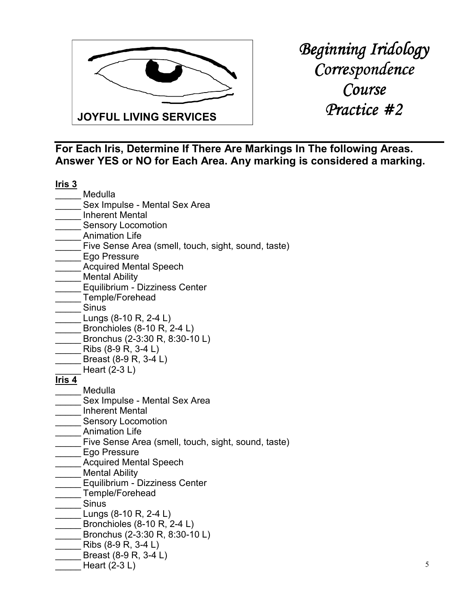

| <u>Iris 3</u> |                                                     |
|---------------|-----------------------------------------------------|
|               | Medulla                                             |
|               | Sex Impulse - Mental Sex Area                       |
|               | <b>Inherent Mental</b>                              |
|               | <b>Sensory Locomotion</b>                           |
|               | <b>Animation Life</b>                               |
|               | Five Sense Area (smell, touch, sight, sound, taste) |
|               | Ego Pressure                                        |
|               | <b>Acquired Mental Speech</b>                       |
|               | <b>Mental Ability</b>                               |
|               | Equilibrium - Dizziness Center                      |
|               | Temple/Forehead                                     |
|               | <b>Sinus</b>                                        |
|               | Lungs (8-10 R, 2-4 L)                               |
|               | Bronchioles (8-10 R, 2-4 L)                         |
|               | Bronchus (2-3:30 R, 8:30-10 L)                      |
|               | Ribs (8-9 R, 3-4 L)                                 |
|               | Breast (8-9 R, 3-4 L)                               |
|               | Heart $(2-3 L)$                                     |
| Iris 4        |                                                     |
|               | Medulla                                             |
|               | Sex Impulse - Mental Sex Area                       |
|               | <b>Inherent Mental</b>                              |
|               | <b>Sensory Locomotion</b><br><b>Animation Life</b>  |
|               | Five Sense Area (smell, touch, sight, sound, taste) |
|               | Ego Pressure                                        |
|               | <b>Acquired Mental Speech</b>                       |
|               | <b>Mental Ability</b>                               |
|               | Equilibrium - Dizziness Center                      |
|               | Temple/Forehead                                     |
|               | <b>Sinus</b>                                        |
|               | Lungs (8-10 R, 2-4 L)                               |
|               | Bronchioles (8-10 R, 2-4 L)                         |
|               | Bronchus (2-3:30 R, 8:30-10 L)                      |
|               | Ribs (8-9 R, 3-4 L)                                 |
|               | Breast (8-9 R, 3-4 L)                               |
|               | Heart $(2-3 L)$                                     |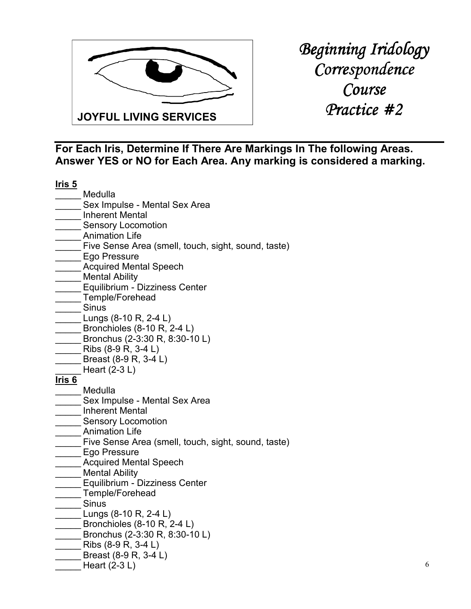

| <u>Iris 5</u> |                                                     |
|---------------|-----------------------------------------------------|
|               | Medulla                                             |
|               | Sex Impulse - Mental Sex Area                       |
|               | <b>Inherent Mental</b>                              |
|               | <b>Sensory Locomotion</b>                           |
|               | <b>Animation Life</b>                               |
|               | Five Sense Area (smell, touch, sight, sound, taste) |
|               | Ego Pressure                                        |
|               | <b>Acquired Mental Speech</b>                       |
|               | <b>Mental Ability</b>                               |
|               | Equilibrium - Dizziness Center                      |
|               | Temple/Forehead                                     |
|               | Sinus                                               |
|               | Lungs (8-10 R, 2-4 L)                               |
|               | Bronchioles (8-10 R, 2-4 L)                         |
|               | Bronchus (2-3:30 R, 8:30-10 L)                      |
|               | Ribs (8-9 R, 3-4 L)                                 |
|               | Breast (8-9 R, 3-4 L)                               |
|               | Heart $(2-3 L)$                                     |
| <u>Iris 6</u> | Medulla                                             |
|               | Sex Impulse - Mental Sex Area                       |
|               | <b>Inherent Mental</b>                              |
|               | <b>Sensory Locomotion</b>                           |
|               | <b>Animation Life</b>                               |
|               | Five Sense Area (smell, touch, sight, sound, taste) |
|               | Ego Pressure                                        |
|               | <b>Acquired Mental Speech</b>                       |
|               | <b>Mental Ability</b>                               |
|               | Equilibrium - Dizziness Center                      |
|               | Temple/Forehead                                     |
|               | <b>Sinus</b>                                        |
|               | Lungs (8-10 R, 2-4 L)                               |
|               | Bronchioles (8-10 R, 2-4 L)                         |
|               | Bronchus (2-3:30 R, 8:30-10 L)                      |
|               | Ribs (8-9 R, 3-4 L)                                 |
|               | Breast (8-9 R, 3-4 L)                               |
|               | Heart $(2-3 L)$                                     |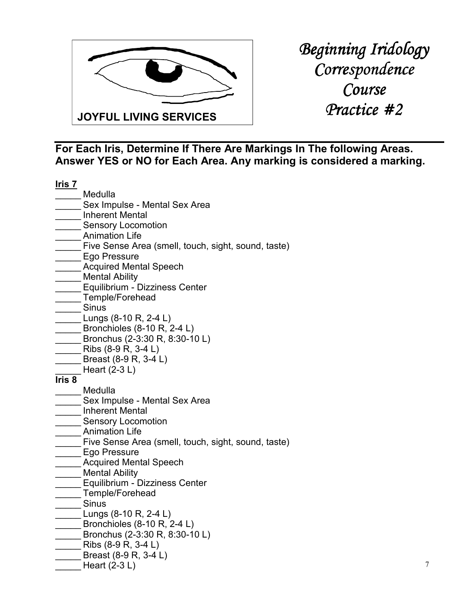

| <u>Iris 7</u> |                                                                     |
|---------------|---------------------------------------------------------------------|
|               | Medulla                                                             |
|               | Sex Impulse - Mental Sex Area                                       |
|               | <b>Inherent Mental</b>                                              |
|               | <b>Sensory Locomotion</b>                                           |
|               | <b>Animation Life</b>                                               |
|               | Five Sense Area (smell, touch, sight, sound, taste)                 |
|               | Ego Pressure                                                        |
|               | <b>Acquired Mental Speech</b>                                       |
|               | <b>Mental Ability</b>                                               |
|               | Equilibrium - Dizziness Center                                      |
|               | Temple/Forehead                                                     |
|               | Sinus                                                               |
|               | Lungs (8-10 R, 2-4 L)                                               |
|               | Bronchioles (8-10 R, 2-4 L)                                         |
|               | Bronchus (2-3:30 R, 8:30-10 L)                                      |
|               | Ribs (8-9 R, 3-4 L)                                                 |
|               | Breast (8-9 R, 3-4 L)                                               |
|               | Heart $(2-3 L)$                                                     |
| Iris 8        |                                                                     |
|               | Medulla                                                             |
|               | Sex Impulse - Mental Sex Area                                       |
|               | <b>Inherent Mental</b>                                              |
|               | <b>Sensory Locomotion</b>                                           |
|               | <b>Animation Life</b>                                               |
|               | Five Sense Area (smell, touch, sight, sound, taste)<br>Ego Pressure |
|               | <b>Acquired Mental Speech</b>                                       |
|               | <b>Mental Ability</b>                                               |
|               | Equilibrium - Dizziness Center                                      |
|               | Temple/Forehead                                                     |
|               | <b>Sinus</b>                                                        |
|               | Lungs (8-10 R, 2-4 L)                                               |
|               | Bronchioles (8-10 R, 2-4 L)                                         |
|               | Bronchus (2-3:30 R, 8:30-10 L)                                      |
|               | Ribs (8-9 R, 3-4 L)                                                 |
|               | Breast (8-9 R, 3-4 L)                                               |
|               | Heart (2-3 L)                                                       |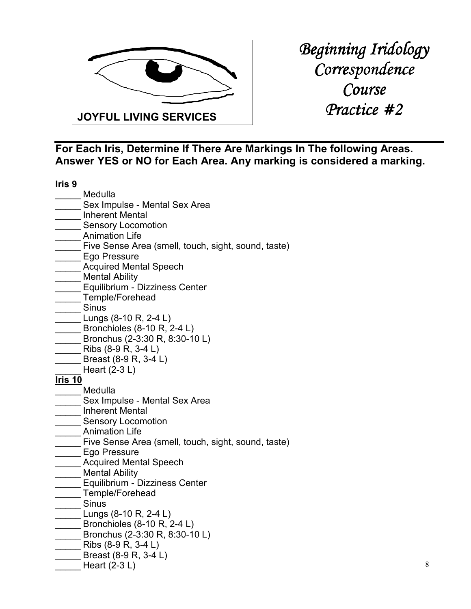

| Iris <sub>9</sub> |                                                     |
|-------------------|-----------------------------------------------------|
|                   | Medulla                                             |
|                   | Sex Impulse - Mental Sex Area                       |
|                   | <b>Inherent Mental</b>                              |
|                   | <b>Sensory Locomotion</b>                           |
|                   | <b>Animation Life</b>                               |
|                   | Five Sense Area (smell, touch, sight, sound, taste) |
|                   | Ego Pressure                                        |
|                   | <b>Acquired Mental Speech</b>                       |
|                   | <b>Mental Ability</b>                               |
|                   | Equilibrium - Dizziness Center                      |
|                   | Temple/Forehead                                     |
|                   | <b>Sinus</b>                                        |
|                   | Lungs (8-10 R, 2-4 L)                               |
|                   | Bronchioles (8-10 R, 2-4 L)                         |
|                   | Bronchus (2-3:30 R, 8:30-10 L)                      |
|                   | Ribs (8-9 R, 3-4 L)                                 |
|                   | Breast (8-9 R, 3-4 L)                               |
|                   | Heart $(2-3 L)$                                     |
| <u>Iris 10</u>    | Medulla                                             |
|                   | Sex Impulse - Mental Sex Area                       |
|                   | <b>Inherent Mental</b>                              |
|                   | <b>Sensory Locomotion</b>                           |
|                   | <b>Animation Life</b>                               |
|                   | Five Sense Area (smell, touch, sight, sound, taste) |
|                   | Ego Pressure                                        |
|                   | <b>Acquired Mental Speech</b>                       |
|                   | <b>Mental Ability</b>                               |
|                   | Equilibrium - Dizziness Center                      |
|                   | Temple/Forehead                                     |
|                   | <b>Sinus</b>                                        |
|                   | Lungs (8-10 R, 2-4 L)                               |
|                   | Bronchioles (8-10 R, 2-4 L)                         |
|                   | Bronchus (2-3:30 R, 8:30-10 L)                      |
|                   | Ribs (8-9 R, 3-4 L)                                 |
|                   | Breast (8-9 R, 3-4 L)                               |
|                   | Heart $(2-3 L)$                                     |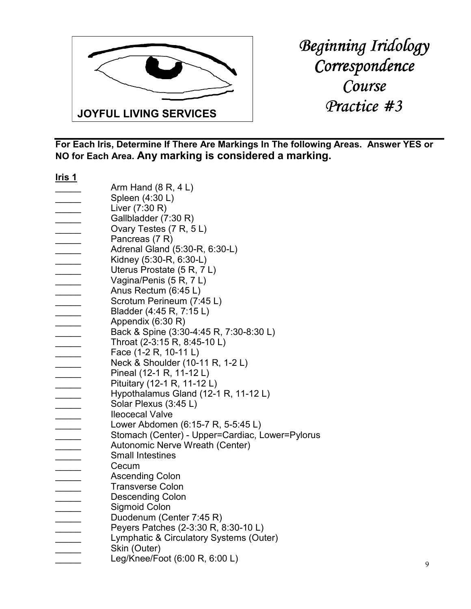

| <u>Iris 1</u>                                                                                                                                                                                                                                                     |                                                 |
|-------------------------------------------------------------------------------------------------------------------------------------------------------------------------------------------------------------------------------------------------------------------|-------------------------------------------------|
|                                                                                                                                                                                                                                                                   | Arm Hand $(8 R, 4 L)$                           |
|                                                                                                                                                                                                                                                                   | Spleen (4:30 L)                                 |
|                                                                                                                                                                                                                                                                   | Liver (7:30 R)                                  |
|                                                                                                                                                                                                                                                                   | Gallbladder (7:30 R)                            |
| $\label{eq:2.1} \begin{array}{ll} \mathcal{L}_{\text{max}}(\mathcal{L}_{\text{max}}) & \mathcal{L}_{\text{max}}(\mathcal{L}_{\text{max}}) \\ \mathcal{L}_{\text{max}}(\mathcal{L}_{\text{max}}) & \mathcal{L}_{\text{max}}(\mathcal{L}_{\text{max}}) \end{array}$ | Ovary Testes (7 R, 5 L)                         |
|                                                                                                                                                                                                                                                                   | Pancreas (7 R)                                  |
|                                                                                                                                                                                                                                                                   | Adrenal Gland (5:30-R, 6:30-L)                  |
|                                                                                                                                                                                                                                                                   | Kidney (5:30-R, 6:30-L)                         |
| _______                                                                                                                                                                                                                                                           | Uterus Prostate (5 R, 7 L)                      |
|                                                                                                                                                                                                                                                                   | Vagina/Penis (5 R, 7 L)                         |
|                                                                                                                                                                                                                                                                   | Anus Rectum (6:45 L)                            |
|                                                                                                                                                                                                                                                                   | Scrotum Perineum (7:45 L)                       |
|                                                                                                                                                                                                                                                                   | Bladder (4:45 R, 7:15 L)                        |
|                                                                                                                                                                                                                                                                   | Appendix (6:30 R)                               |
|                                                                                                                                                                                                                                                                   |                                                 |
|                                                                                                                                                                                                                                                                   | Back & Spine (3:30-4:45 R, 7:30-8:30 L)         |
|                                                                                                                                                                                                                                                                   | Throat (2-3:15 R, 8:45-10 L)                    |
|                                                                                                                                                                                                                                                                   | Face (1-2 R, 10-11 L)                           |
|                                                                                                                                                                                                                                                                   | Neck & Shoulder (10-11 R, 1-2 L)                |
|                                                                                                                                                                                                                                                                   | Pineal (12-1 R, 11-12 L)                        |
|                                                                                                                                                                                                                                                                   | Pituitary (12-1 R, 11-12 L)                     |
|                                                                                                                                                                                                                                                                   | Hypothalamus Gland (12-1 R, 11-12 L)            |
|                                                                                                                                                                                                                                                                   | Solar Plexus (3:45 L)                           |
|                                                                                                                                                                                                                                                                   | <b>Ileocecal Valve</b>                          |
|                                                                                                                                                                                                                                                                   | Lower Abdomen (6:15-7 R, 5-5:45 L)              |
|                                                                                                                                                                                                                                                                   | Stomach (Center) - Upper=Cardiac, Lower=Pylorus |
|                                                                                                                                                                                                                                                                   | Autonomic Nerve Wreath (Center)                 |
|                                                                                                                                                                                                                                                                   | <b>Small Intestines</b>                         |
|                                                                                                                                                                                                                                                                   | Cecum                                           |
|                                                                                                                                                                                                                                                                   | <b>Ascending Colon</b>                          |
|                                                                                                                                                                                                                                                                   | <b>Transverse Colon</b>                         |
|                                                                                                                                                                                                                                                                   | <b>Descending Colon</b>                         |
|                                                                                                                                                                                                                                                                   | Sigmoid Colon                                   |
|                                                                                                                                                                                                                                                                   | Duodenum (Center 7:45 R)                        |
|                                                                                                                                                                                                                                                                   | Peyers Patches (2-3:30 R, 8:30-10 L)            |
|                                                                                                                                                                                                                                                                   | Lymphatic & Circulatory Systems (Outer)         |
|                                                                                                                                                                                                                                                                   | Skin (Outer)                                    |
|                                                                                                                                                                                                                                                                   | Leg/Knee/Foot (6:00 R, 6:00 L)                  |
|                                                                                                                                                                                                                                                                   |                                                 |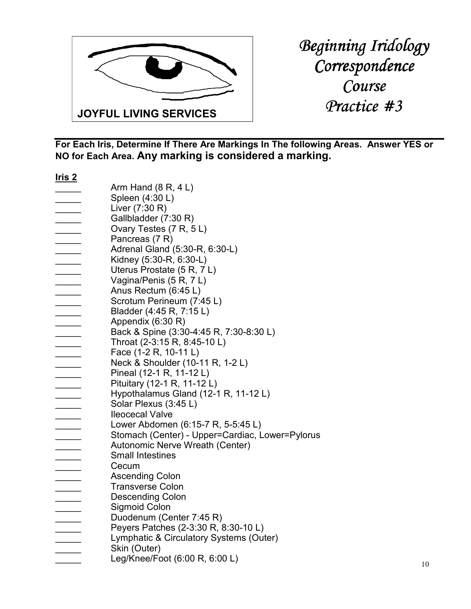

| <u>Iris 2</u>            |                                                 |
|--------------------------|-------------------------------------------------|
|                          | Arm Hand $(8 R, 4 L)$                           |
|                          | Spleen (4:30 L)                                 |
|                          | Liver (7:30 R)                                  |
|                          | Gallbladder (7:30 R)                            |
|                          | Ovary Testes (7 R, 5 L)                         |
| $\overline{\phantom{a}}$ | Pancreas (7 R)                                  |
|                          | Adrenal Gland (5:30-R, 6:30-L)                  |
|                          | Kidney (5:30-R, 6:30-L)                         |
| $\overline{\phantom{a}}$ | Uterus Prostate (5 R, 7 L)                      |
|                          | Vagina/Penis (5 R, 7 L)                         |
|                          | Anus Rectum (6:45 L)                            |
|                          | Scrotum Perineum (7:45 L)                       |
|                          | Bladder (4:45 R, 7:15 L)                        |
|                          | Appendix (6:30 R)                               |
|                          | Back & Spine (3:30-4:45 R, 7:30-8:30 L)         |
|                          | Throat (2-3:15 R, 8:45-10 L)                    |
|                          | Face (1-2 R, 10-11 L)                           |
|                          | Neck & Shoulder (10-11 R, 1-2 L)                |
|                          | Pineal (12-1 R, 11-12 L)                        |
|                          | Pituitary (12-1 R, 11-12 L)                     |
|                          | Hypothalamus Gland (12-1 R, 11-12 L)            |
|                          |                                                 |
|                          | Solar Plexus (3:45 L)                           |
|                          | <b>Ileocecal Valve</b>                          |
|                          | Lower Abdomen (6:15-7 R, 5-5:45 L)              |
|                          | Stomach (Center) - Upper=Cardiac, Lower=Pylorus |
|                          | Autonomic Nerve Wreath (Center)                 |
|                          | <b>Small Intestines</b>                         |
|                          | Cecum                                           |
|                          | <b>Ascending Colon</b>                          |
|                          | <b>Transverse Colon</b>                         |
|                          | <b>Descending Colon</b>                         |
|                          | <b>Sigmoid Colon</b>                            |
|                          | Duodenum (Center 7:45 R)                        |
|                          | Peyers Patches (2-3:30 R, 8:30-10 L)            |
|                          | Lymphatic & Circulatory Systems (Outer)         |
|                          | Skin (Outer)                                    |
|                          | Leg/Knee/Foot (6:00 R, 6:00 L)                  |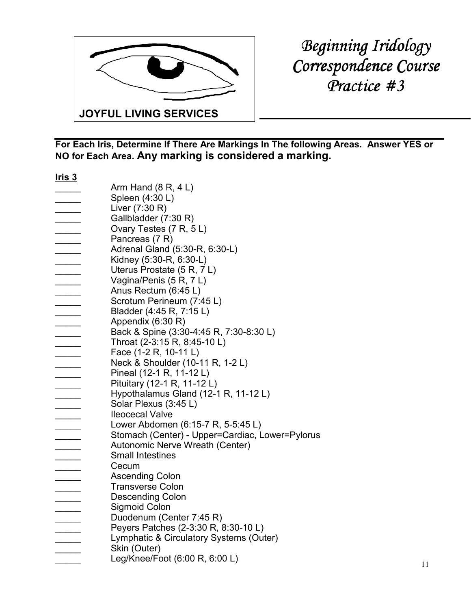

*Beginning Iridology*   $Correspondence Course$ *Practice #3 Practice* 

| <u>Iris 3</u>            |                                                 |
|--------------------------|-------------------------------------------------|
|                          | Arm Hand $(8 R, 4 L)$                           |
|                          | Spleen (4:30 L)                                 |
|                          | Liver $(7:30 R)$                                |
|                          | Gallbladder (7:30 R)                            |
| $\sim$                   | Ovary Testes (7 R, 5 L)                         |
|                          | Pancreas (7 R)                                  |
| $\sim$                   | Adrenal Gland (5:30-R, 6:30-L)                  |
| $\overline{\phantom{a}}$ | Kidney (5:30-R, 6:30-L)                         |
|                          | Uterus Prostate (5 R, 7 L)                      |
|                          | Vagina/Penis (5 R, 7 L)                         |
|                          | Anus Rectum (6:45 L)                            |
|                          | Scrotum Perineum (7:45 L)                       |
|                          | Bladder (4:45 R, 7:15 L)                        |
|                          | Appendix (6:30 R)                               |
|                          | Back & Spine (3:30-4:45 R, 7:30-8:30 L)         |
|                          |                                                 |
|                          | Throat (2-3:15 R, 8:45-10 L)                    |
|                          | Face (1-2 R, 10-11 L)                           |
|                          | Neck & Shoulder (10-11 R, 1-2 L)                |
|                          | Pineal (12-1 R, 11-12 L)                        |
|                          | Pituitary (12-1 R, 11-12 L)                     |
|                          | Hypothalamus Gland (12-1 R, 11-12 L)            |
|                          | Solar Plexus (3:45 L)                           |
|                          | <b>Ileocecal Valve</b>                          |
|                          | Lower Abdomen (6:15-7 R, 5-5:45 L)              |
|                          | Stomach (Center) - Upper=Cardiac, Lower=Pylorus |
|                          | Autonomic Nerve Wreath (Center)                 |
|                          | <b>Small Intestines</b>                         |
|                          | Cecum                                           |
|                          | <b>Ascending Colon</b>                          |
|                          | <b>Transverse Colon</b>                         |
|                          | <b>Descending Colon</b>                         |
|                          | Sigmoid Colon                                   |
|                          | Duodenum (Center 7:45 R)                        |
|                          | Peyers Patches (2-3:30 R, 8:30-10 L)            |
| $\overline{\phantom{a}}$ | Lymphatic & Circulatory Systems (Outer)         |
|                          | Skin (Outer)                                    |
|                          | Leg/Knee/Foot (6:00 R, 6:00 L)                  |
|                          |                                                 |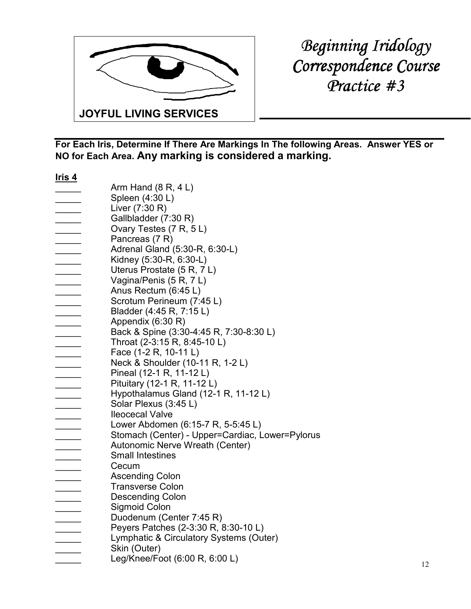

*Beginning Iridology Correspondence Course Practice #3 Practice* 

| <u>Iris 4</u>            |                                                 |
|--------------------------|-------------------------------------------------|
|                          | Arm Hand $(8 R, 4 L)$                           |
|                          | Spleen (4:30 L)                                 |
|                          | Liver (7:30 R)                                  |
|                          | Gallbladder (7:30 R)                            |
|                          | Ovary Testes (7 R, 5 L)                         |
| $\overline{\phantom{a}}$ | Pancreas (7 R)                                  |
|                          | Adrenal Gland (5:30-R, 6:30-L)                  |
|                          | Kidney (5:30-R, 6:30-L)                         |
| $\overline{\phantom{a}}$ | Uterus Prostate (5 R, 7 L)                      |
|                          | Vagina/Penis (5 R, 7 L)                         |
|                          | Anus Rectum (6:45 L)                            |
|                          | Scrotum Perineum (7:45 L)                       |
|                          | Bladder (4:45 R, 7:15 L)                        |
|                          | Appendix (6:30 R)                               |
|                          | Back & Spine (3:30-4:45 R, 7:30-8:30 L)         |
|                          | Throat (2-3:15 R, 8:45-10 L)                    |
|                          |                                                 |
|                          | Face (1-2 R, 10-11 L)                           |
|                          | Neck & Shoulder (10-11 R, 1-2 L)                |
|                          | Pineal (12-1 R, 11-12 L)                        |
|                          | Pituitary (12-1 R, 11-12 L)                     |
|                          | Hypothalamus Gland (12-1 R, 11-12 L)            |
|                          | Solar Plexus (3:45 L)                           |
|                          | <b>Ileocecal Valve</b>                          |
|                          | Lower Abdomen (6:15-7 R, 5-5:45 L)              |
|                          | Stomach (Center) - Upper=Cardiac, Lower=Pylorus |
|                          | Autonomic Nerve Wreath (Center)                 |
|                          | <b>Small Intestines</b>                         |
|                          | Cecum                                           |
|                          | <b>Ascending Colon</b>                          |
|                          | <b>Transverse Colon</b>                         |
|                          | <b>Descending Colon</b>                         |
|                          | Sigmoid Colon                                   |
|                          | Duodenum (Center 7:45 R)                        |
|                          | Peyers Patches (2-3:30 R, 8:30-10 L)            |
|                          | Lymphatic & Circulatory Systems (Outer)         |
|                          | Skin (Outer)                                    |
|                          | Leg/Knee/Foot (6:00 R, 6:00 L)                  |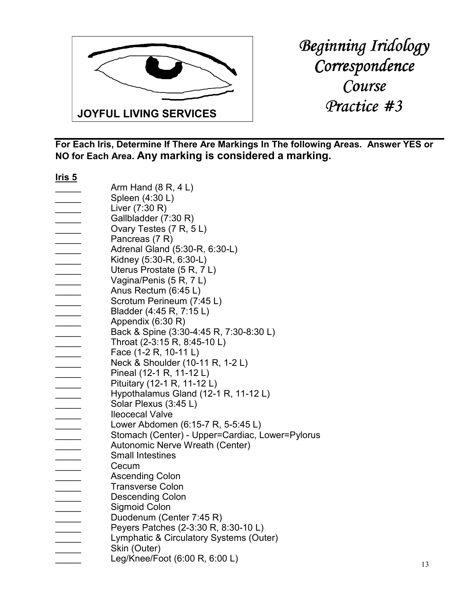

| <u>Iris 5</u>            |                                                 |
|--------------------------|-------------------------------------------------|
|                          | Arm Hand $(8 R, 4 L)$                           |
|                          | Spleen (4:30 L)                                 |
|                          | Liver (7:30 R)                                  |
|                          | Gallbladder (7:30 R)                            |
|                          | Ovary Testes (7 R, 5 L)                         |
| $\overline{\phantom{a}}$ | Pancreas (7 R)                                  |
|                          | Adrenal Gland (5:30-R, 6:30-L)                  |
|                          | Kidney (5:30-R, 6:30-L)                         |
| $\sim$                   | Uterus Prostate (5 R, 7 L)                      |
|                          | Vagina/Penis (5 R, 7 L)                         |
|                          | Anus Rectum (6:45 L)                            |
|                          | Scrotum Perineum (7:45 L)                       |
|                          | Bladder (4:45 R, 7:15 L)                        |
|                          | Appendix (6:30 R)                               |
|                          | Back & Spine (3:30-4:45 R, 7:30-8:30 L)         |
|                          |                                                 |
|                          | Throat (2-3:15 R, 8:45-10 L)                    |
|                          | Face (1-2 R, 10-11 L)                           |
|                          | Neck & Shoulder (10-11 R, 1-2 L)                |
|                          | Pineal (12-1 R, 11-12 L)                        |
|                          | Pituitary (12-1 R, 11-12 L)                     |
|                          | Hypothalamus Gland (12-1 R, 11-12 L)            |
|                          | Solar Plexus (3:45 L)                           |
|                          | <b>Ileocecal Valve</b>                          |
|                          | Lower Abdomen (6:15-7 R, 5-5:45 L)              |
|                          | Stomach (Center) - Upper=Cardiac, Lower=Pylorus |
|                          | Autonomic Nerve Wreath (Center)                 |
|                          | <b>Small Intestines</b>                         |
|                          | Cecum                                           |
|                          | <b>Ascending Colon</b>                          |
|                          | <b>Transverse Colon</b>                         |
|                          | <b>Descending Colon</b>                         |
|                          | Sigmoid Colon                                   |
|                          | Duodenum (Center 7:45 R)                        |
|                          | Peyers Patches (2-3:30 R, 8:30-10 L)            |
|                          | Lymphatic & Circulatory Systems (Outer)         |
|                          | Skin (Outer)                                    |
|                          | Leg/Knee/Foot (6:00 R, 6:00 L)                  |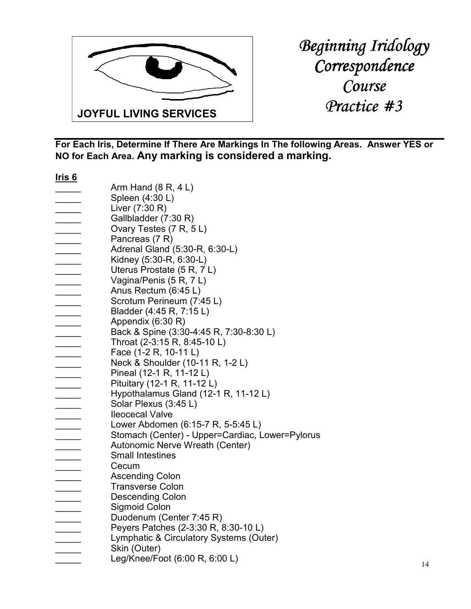

| <u>Iris 6</u>            |                                                 |
|--------------------------|-------------------------------------------------|
|                          | Arm Hand $(8 R, 4 L)$                           |
|                          | Spleen (4:30 L)                                 |
|                          | Liver (7:30 R)                                  |
|                          | Gallbladder (7:30 R)                            |
|                          | Ovary Testes (7 R, 5 L)                         |
| $\overline{\phantom{a}}$ | Pancreas (7 R)                                  |
|                          | Adrenal Gland (5:30-R, 6:30-L)                  |
|                          | Kidney (5:30-R, 6:30-L)                         |
| $\overline{\phantom{a}}$ | Uterus Prostate (5 R, 7 L)                      |
|                          | Vagina/Penis (5 R, 7 L)                         |
|                          | Anus Rectum (6:45 L)                            |
|                          | Scrotum Perineum (7:45 L)                       |
|                          | Bladder (4:45 R, 7:15 L)                        |
|                          |                                                 |
|                          | Appendix (6:30 R)                               |
|                          | Back & Spine (3:30-4:45 R, 7:30-8:30 L)         |
|                          | Throat (2-3:15 R, 8:45-10 L)                    |
|                          | Face (1-2 R, 10-11 L)                           |
|                          | Neck & Shoulder (10-11 R, 1-2 L)                |
|                          | Pineal (12-1 R, 11-12 L)                        |
|                          | Pituitary (12-1 R, 11-12 L)                     |
|                          | Hypothalamus Gland (12-1 R, 11-12 L)            |
|                          | Solar Plexus (3:45 L)                           |
|                          | <b>Ileocecal Valve</b>                          |
|                          | Lower Abdomen (6:15-7 R, 5-5:45 L)              |
|                          | Stomach (Center) - Upper=Cardiac, Lower=Pylorus |
|                          | Autonomic Nerve Wreath (Center)                 |
|                          | <b>Small Intestines</b>                         |
|                          | Cecum                                           |
|                          | <b>Ascending Colon</b>                          |
|                          | <b>Transverse Colon</b>                         |
|                          | <b>Descending Colon</b>                         |
|                          | <b>Sigmoid Colon</b>                            |
|                          | Duodenum (Center 7:45 R)                        |
|                          | Peyers Patches (2-3:30 R, 8:30-10 L)            |
|                          | Lymphatic & Circulatory Systems (Outer)         |
|                          | Skin (Outer)                                    |
|                          | Leg/Knee/Foot (6:00 R, 6:00 L)                  |
|                          |                                                 |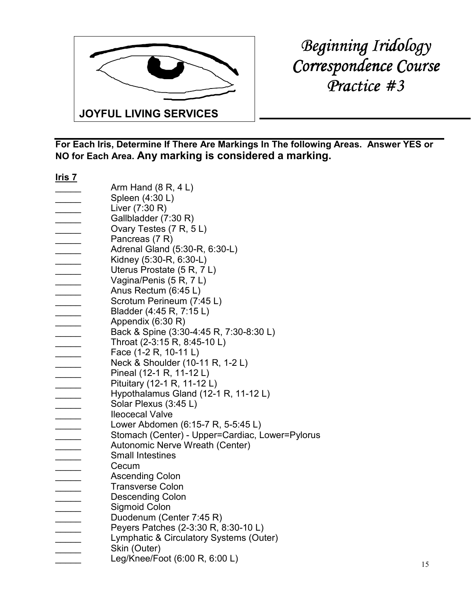

*Beginning Iridology Correspondence Course Practice #3 Practice* 

| <u>Iris 7</u>            |                                                 |
|--------------------------|-------------------------------------------------|
|                          | Arm Hand $(8 R, 4 L)$                           |
|                          | Spleen (4:30 L)                                 |
|                          | Liver (7:30 R)                                  |
|                          | Gallbladder (7:30 R)                            |
|                          | Ovary Testes (7 R, 5 L)                         |
| $\overline{\phantom{a}}$ | Pancreas (7 R)                                  |
|                          | Adrenal Gland (5:30-R, 6:30-L)                  |
|                          | Kidney (5:30-R, 6:30-L)                         |
| $\overline{\phantom{a}}$ | Uterus Prostate (5 R, 7 L)                      |
|                          | Vagina/Penis (5 R, 7 L)                         |
|                          | Anus Rectum (6:45 L)                            |
|                          | Scrotum Perineum (7:45 L)                       |
|                          | Bladder (4:45 R, 7:15 L)                        |
|                          |                                                 |
|                          | Appendix (6:30 R)                               |
|                          | Back & Spine (3:30-4:45 R, 7:30-8:30 L)         |
|                          | Throat (2-3:15 R, 8:45-10 L)                    |
|                          | Face (1-2 R, 10-11 L)                           |
|                          | Neck & Shoulder (10-11 R, 1-2 L)                |
|                          | Pineal (12-1 R, 11-12 L)                        |
|                          | Pituitary (12-1 R, 11-12 L)                     |
|                          | Hypothalamus Gland (12-1 R, 11-12 L)            |
|                          | Solar Plexus (3:45 L)                           |
|                          | <b>Ileocecal Valve</b>                          |
|                          | Lower Abdomen (6:15-7 R, 5-5:45 L)              |
|                          | Stomach (Center) - Upper=Cardiac, Lower=Pylorus |
|                          | Autonomic Nerve Wreath (Center)                 |
|                          | <b>Small Intestines</b>                         |
|                          | Cecum                                           |
|                          | <b>Ascending Colon</b>                          |
|                          | <b>Transverse Colon</b>                         |
|                          | <b>Descending Colon</b>                         |
|                          | Sigmoid Colon                                   |
|                          | Duodenum (Center 7:45 R)                        |
|                          | Peyers Patches (2-3:30 R, 8:30-10 L)            |
|                          | Lymphatic & Circulatory Systems (Outer)         |
|                          | Skin (Outer)                                    |
|                          | Leg/Knee/Foot (6:00 R, 6:00 L)                  |
|                          |                                                 |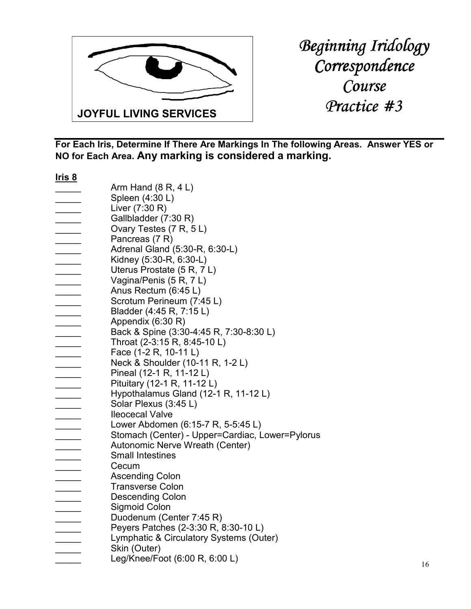

| <u>Iris 8</u>            |                                                 |
|--------------------------|-------------------------------------------------|
|                          | Arm Hand $(8 R, 4 L)$                           |
|                          | Spleen (4:30 L)                                 |
|                          | Liver (7:30 R)                                  |
|                          | Gallbladder (7:30 R)                            |
|                          | Ovary Testes (7 R, 5 L)                         |
| $\overline{\phantom{a}}$ | Pancreas (7 R)                                  |
|                          | Adrenal Gland (5:30-R, 6:30-L)                  |
|                          | Kidney (5:30-R, 6:30-L)                         |
| $\overline{\phantom{a}}$ | Uterus Prostate (5 R, 7 L)                      |
|                          | Vagina/Penis (5 R, 7 L)                         |
|                          | Anus Rectum (6:45 L)                            |
|                          | Scrotum Perineum (7:45 L)                       |
|                          | Bladder (4:45 R, 7:15 L)                        |
|                          |                                                 |
|                          | Appendix (6:30 R)                               |
|                          | Back & Spine (3:30-4:45 R, 7:30-8:30 L)         |
|                          | Throat (2-3:15 R, 8:45-10 L)                    |
|                          | Face (1-2 R, 10-11 L)                           |
|                          | Neck & Shoulder (10-11 R, 1-2 L)                |
|                          | Pineal (12-1 R, 11-12 L)                        |
|                          | Pituitary (12-1 R, 11-12 L)                     |
|                          | Hypothalamus Gland (12-1 R, 11-12 L)            |
|                          | Solar Plexus (3:45 L)                           |
|                          | <b>Ileocecal Valve</b>                          |
|                          | Lower Abdomen (6:15-7 R, 5-5:45 L)              |
|                          | Stomach (Center) - Upper=Cardiac, Lower=Pylorus |
|                          | Autonomic Nerve Wreath (Center)                 |
|                          | <b>Small Intestines</b>                         |
|                          | Cecum                                           |
|                          | <b>Ascending Colon</b>                          |
|                          | <b>Transverse Colon</b>                         |
|                          | <b>Descending Colon</b>                         |
|                          | <b>Sigmoid Colon</b>                            |
|                          | Duodenum (Center 7:45 R)                        |
|                          | Peyers Patches (2-3:30 R, 8:30-10 L)            |
|                          | Lymphatic & Circulatory Systems (Outer)         |
|                          | Skin (Outer)                                    |
|                          | Leg/Knee/Foot (6:00 R, 6:00 L)                  |
|                          |                                                 |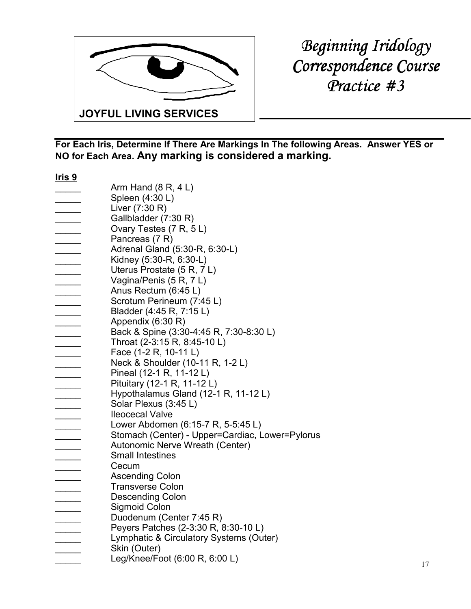

*Beginning Iridology*   $Correspondence Course$ *Practice #3 Practice* 

| <u>Iris 9</u>            |                                                 |
|--------------------------|-------------------------------------------------|
|                          | Arm Hand $(8 R, 4 L)$                           |
|                          | Spleen (4:30 L)                                 |
|                          | Liver (7:30 R)                                  |
|                          | Gallbladder (7:30 R)                            |
|                          | Ovary Testes (7 R, 5 L)                         |
| $\overline{\phantom{a}}$ | Pancreas (7 R)                                  |
|                          | Adrenal Gland (5:30-R, 6:30-L)                  |
|                          | Kidney (5:30-R, 6:30-L)                         |
| $\overline{\phantom{a}}$ | Uterus Prostate (5 R, 7 L)                      |
|                          | Vagina/Penis (5 R, 7 L)                         |
|                          | Anus Rectum (6:45 L)                            |
|                          | Scrotum Perineum (7:45 L)                       |
|                          | Bladder (4:45 R, 7:15 L)                        |
|                          | Appendix (6:30 R)                               |
|                          | Back & Spine (3:30-4:45 R, 7:30-8:30 L)         |
|                          |                                                 |
|                          | Throat (2-3:15 R, 8:45-10 L)                    |
|                          | Face (1-2 R, 10-11 L)                           |
|                          | Neck & Shoulder (10-11 R, 1-2 L)                |
|                          | Pineal (12-1 R, 11-12 L)                        |
|                          | Pituitary (12-1 R, 11-12 L)                     |
|                          | Hypothalamus Gland (12-1 R, 11-12 L)            |
|                          | Solar Plexus (3:45 L)                           |
|                          | <b>Ileocecal Valve</b>                          |
|                          | Lower Abdomen (6:15-7 R, 5-5:45 L)              |
|                          | Stomach (Center) - Upper=Cardiac, Lower=Pylorus |
|                          | Autonomic Nerve Wreath (Center)                 |
|                          | <b>Small Intestines</b>                         |
|                          | Cecum                                           |
|                          | <b>Ascending Colon</b>                          |
|                          | <b>Transverse Colon</b>                         |
|                          | <b>Descending Colon</b>                         |
|                          | Sigmoid Colon                                   |
|                          | Duodenum (Center 7:45 R)                        |
|                          | Peyers Patches (2-3:30 R, 8:30-10 L)            |
|                          | Lymphatic & Circulatory Systems (Outer)         |
|                          | Skin (Outer)                                    |
|                          | Leg/Knee/Foot (6:00 R, 6:00 L)                  |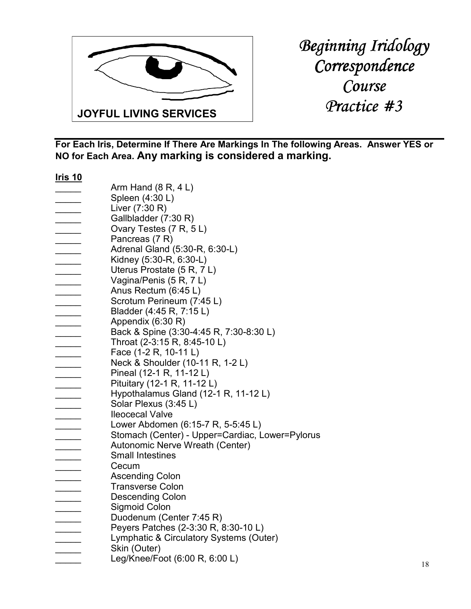

| <u>Iris 10</u>           |                                                 |
|--------------------------|-------------------------------------------------|
|                          | Arm Hand $(8 R, 4 L)$                           |
|                          | Spleen (4:30 L)                                 |
|                          | Liver (7:30 R)                                  |
|                          | Gallbladder (7:30 R)                            |
|                          | Ovary Testes (7 R, 5 L)                         |
| __________               | Pancreas (7 R)                                  |
| $\overline{\phantom{a}}$ | Adrenal Gland (5:30-R, 6:30-L)                  |
| $\sim$ $\sim$            | Kidney (5:30-R, 6:30-L)                         |
|                          | Uterus Prostate (5 R, 7 L)                      |
|                          | Vagina/Penis (5 R, 7 L)                         |
|                          | Anus Rectum (6:45 L)                            |
|                          | Scrotum Perineum (7:45 L)                       |
|                          |                                                 |
|                          | Bladder (4:45 R, 7:15 L)                        |
|                          | Appendix (6:30 R)                               |
|                          | Back & Spine (3:30-4:45 R, 7:30-8:30 L)         |
|                          | Throat (2-3:15 R, 8:45-10 L)                    |
|                          | Face (1-2 R, 10-11 L)                           |
|                          | Neck & Shoulder (10-11 R, 1-2 L)                |
|                          | Pineal (12-1 R, 11-12 L)                        |
|                          | Pituitary (12-1 R, 11-12 L)                     |
|                          | Hypothalamus Gland (12-1 R, 11-12 L)            |
|                          | Solar Plexus (3:45 L)                           |
|                          | <b>Ileocecal Valve</b>                          |
|                          | Lower Abdomen (6:15-7 R, 5-5:45 L)              |
|                          | Stomach (Center) - Upper=Cardiac, Lower=Pylorus |
|                          | Autonomic Nerve Wreath (Center)                 |
|                          | <b>Small Intestines</b>                         |
|                          | Cecum                                           |
|                          | <b>Ascending Colon</b>                          |
|                          | <b>Transverse Colon</b>                         |
|                          | <b>Descending Colon</b>                         |
|                          | Sigmoid Colon                                   |
|                          | Duodenum (Center 7:45 R)                        |
|                          | Peyers Patches (2-3:30 R, 8:30-10 L)            |
|                          | Lymphatic & Circulatory Systems (Outer)         |
|                          | Skin (Outer)                                    |
|                          | Leg/Knee/Foot (6:00 R, 6:00 L)                  |
|                          |                                                 |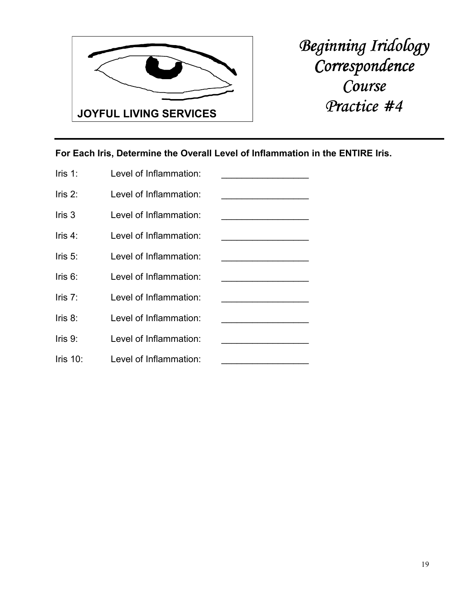

**For Each Iris, Determine the Overall Level of Inflammation in the ENTIRE Iris.** 

| $l$ ris 1:  | Level of Inflammation: |  |
|-------------|------------------------|--|
| Iris $2$ :  | Level of Inflammation: |  |
| $l$ ris 3   | Level of Inflammation: |  |
| $l$ ris 4:  | Level of Inflammation: |  |
| $l$ ris 5:  | Level of Inflammation: |  |
| Iris $6$ :  | Level of Inflammation: |  |
| Iris $7$ :  | Level of Inflammation: |  |
| Iris $8$ :  | Level of Inflammation: |  |
| Iris $9$ :  | Level of Inflammation: |  |
| Iris $10$ : | Level of Inflammation: |  |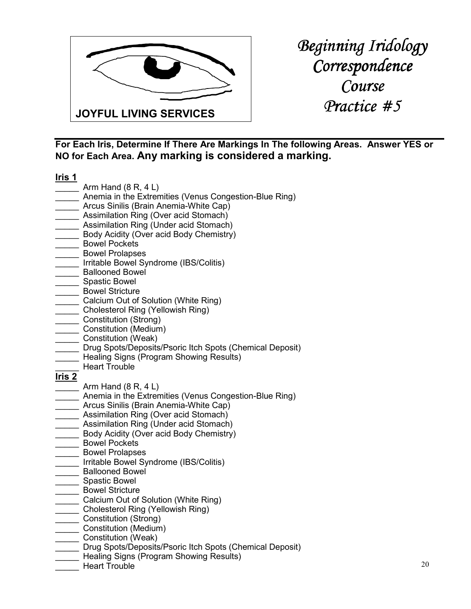

*Beginning Iridology Correspondence Course Practice #5 Practice #5* 

**For Each Iris, Determine If There Are Markings In The following Areas. Answer YES or NO for Each Area. Any marking is considered a marking.**

**Iris 1**

- $\frac{1}{\sqrt{1-\frac{1}{\sqrt{1-\frac{1}{\sqrt{1-\frac{1}{\sqrt{1-\frac{1}{\sqrt{1-\frac{1}{\sqrt{1-\frac{1}{\sqrt{1-\frac{1}{\sqrt{1-\frac{1}{\sqrt{1-\frac{1}{\sqrt{1-\frac{1}{\sqrt{1-\frac{1}{\sqrt{1-\frac{1}{\sqrt{1-\frac{1}{\sqrt{1-\frac{1}{\sqrt{1-\frac{1}{\sqrt{1-\frac{1}{\sqrt{1-\frac{1}{\sqrt{1-\frac{1}{\sqrt{1-\frac{1}{\sqrt{1-\frac{1}{\sqrt{1-\frac{1}{\sqrt{1-\frac{1}{\sqrt{1-\frac{1}{\sqrt{1-\frac{1$
- \_\_\_\_\_ Anemia in the Extremities (Venus Congestion-Blue Ring)
- \_\_\_\_\_ Arcus Sinilis (Brain Anemia-White Cap)
- **\_\_\_** Assimilation Ring (Over acid Stomach)
- \_\_\_\_\_ Assimilation Ring (Under acid Stomach)
- Body Acidity (Over acid Body Chemistry)
- \_\_\_\_ Bowel Pockets
- \_\_\_\_\_ Bowel Prolapses
- \_\_\_\_\_ Irritable Bowel Syndrome (IBS/Colitis)
- \_ Ballooned Bowel
- \_\_\_\_\_ Spastic Bowel
- \_\_\_\_\_ Bowel Stricture
- **Lacks** Calcium Out of Solution (White Ring)
- \_\_\_\_\_ Cholesterol Ring (Yellowish Ring)
- \_\_\_\_\_ Constitution (Strong)
- \_\_\_\_\_ Constitution (Medium)
- \_\_\_\_\_ Constitution (Weak)
- Drug Spots/Deposits/Psoric Itch Spots (Chemical Deposit)
- **Example 21** Healing Signs (Program Showing Results)
- \_\_\_\_\_ Heart Trouble

- Arm Hand  $(8 R, 4 L)$
- Anemia in the Extremities (Venus Congestion-Blue Ring)
- \_\_\_\_\_ Arcus Sinilis (Brain Anemia-White Cap)
- **Assimilation Ring (Over acid Stomach)**
- **\_\_\_\_** Assimilation Ring (Under acid Stomach)
- \_\_\_\_\_ Body Acidity (Over acid Body Chemistry)
- \_\_\_\_\_ Bowel Pockets
- \_\_\_\_\_ Bowel Prolapses
- \_\_\_\_\_ Irritable Bowel Syndrome (IBS/Colitis)
- \_\_\_\_\_ Ballooned Bowel
- \_\_\_\_\_ Spastic Bowel
- \_ Bowel Stricture
- \_\_\_\_\_ Calcium Out of Solution (White Ring)
- \_\_\_\_\_ Cholesterol Ring (Yellowish Ring)
- \_\_\_\_\_ Constitution (Strong)
- \_\_\_\_\_ Constitution (Medium)
- \_\_\_\_\_ Constitution (Weak)
- Drug Spots/Deposits/Psoric Itch Spots (Chemical Deposit)
- Healing Signs (Program Showing Results)
- Heart Trouble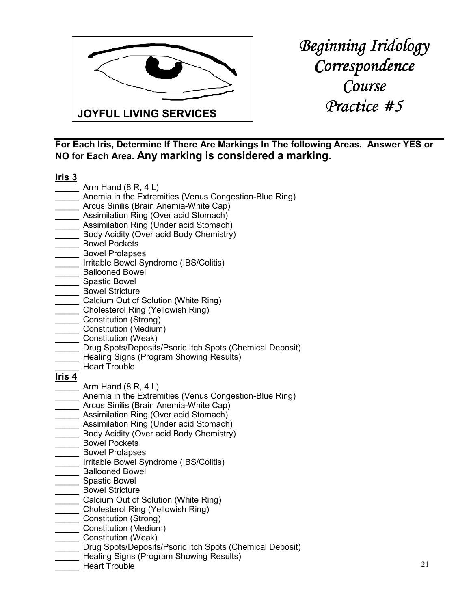

**For Each Iris, Determine If There Are Markings In The following Areas. Answer YES or NO for Each Area. Any marking is considered a marking.**

#### **Iris 3**

- $\frac{1}{\sqrt{1-\frac{1}{\sqrt{1-\frac{1}{\sqrt{1-\frac{1}{\sqrt{1-\frac{1}{\sqrt{1-\frac{1}{\sqrt{1-\frac{1}{\sqrt{1-\frac{1}{\sqrt{1-\frac{1}{\sqrt{1-\frac{1}{\sqrt{1-\frac{1}{\sqrt{1-\frac{1}{\sqrt{1-\frac{1}{\sqrt{1-\frac{1}{\sqrt{1-\frac{1}{\sqrt{1-\frac{1}{\sqrt{1-\frac{1}{\sqrt{1-\frac{1}{\sqrt{1-\frac{1}{\sqrt{1-\frac{1}{\sqrt{1-\frac{1}{\sqrt{1-\frac{1}{\sqrt{1-\frac{1}{\sqrt{1-\frac{1}{\sqrt{1-\frac{1$
- \_\_\_\_\_ Anemia in the Extremities (Venus Congestion-Blue Ring)
- \_\_\_\_\_ Arcus Sinilis (Brain Anemia-White Cap)
- **\_\_\_** Assimilation Ring (Over acid Stomach)
- \_\_\_\_\_ Assimilation Ring (Under acid Stomach)
- Body Acidity (Over acid Body Chemistry)
- \_\_\_\_ Bowel Pockets
- \_\_\_\_\_ Bowel Prolapses
- \_\_\_\_\_ Irritable Bowel Syndrome (IBS/Colitis)
- \_ Ballooned Bowel
- \_\_\_\_\_ Spastic Bowel
- \_\_\_\_\_ Bowel Stricture
- **Lacks** Calcium Out of Solution (White Ring)
- \_\_\_\_\_ Cholesterol Ring (Yellowish Ring)
- \_\_\_\_\_ Constitution (Strong)
- \_\_\_\_\_ Constitution (Medium)
- \_\_\_\_\_ Constitution (Weak)
- Drug Spots/Deposits/Psoric Itch Spots (Chemical Deposit)
- \_\_\_\_\_ Healing Signs (Program Showing Results)
- \_\_\_\_\_ Heart Trouble

- Arm Hand  $(8 R, 4 L)$
- Anemia in the Extremities (Venus Congestion-Blue Ring)
- \_\_\_\_\_ Arcus Sinilis (Brain Anemia-White Cap)
- **Assimilation Ring (Over acid Stomach)**
- **Lace Assimilation Ring (Under acid Stomach)**
- \_\_\_\_\_ Body Acidity (Over acid Body Chemistry)
- \_\_\_\_\_ Bowel Pockets
- \_\_\_\_\_ Bowel Prolapses
- \_\_\_\_\_ Irritable Bowel Syndrome (IBS/Colitis)
- \_\_\_\_\_ Ballooned Bowel
- \_\_\_\_\_ Spastic Bowel
- \_ Bowel Stricture
- \_\_\_\_\_ Calcium Out of Solution (White Ring)
- \_\_\_\_\_ Cholesterol Ring (Yellowish Ring)
- \_\_\_\_\_ Constitution (Strong)
- \_\_\_\_\_ Constitution (Medium)
- \_\_\_\_\_ Constitution (Weak)
- Drug Spots/Deposits/Psoric Itch Spots (Chemical Deposit)
- Healing Signs (Program Showing Results)
- Heart Trouble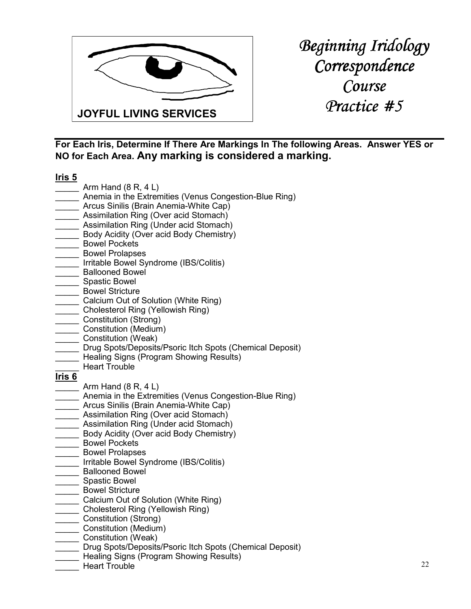

**For Each Iris, Determine If There Are Markings In The following Areas. Answer YES or NO for Each Area. Any marking is considered a marking.**

#### **Iris 5**

- $\Box$  Arm Hand  $(8 R, 4 L)$
- \_\_\_\_\_ Anemia in the Extremities (Venus Congestion-Blue Ring)
- \_\_\_\_\_ Arcus Sinilis (Brain Anemia-White Cap)
- **\_\_\_** Assimilation Ring (Over acid Stomach)
- \_\_\_\_\_ Assimilation Ring (Under acid Stomach)
- Body Acidity (Over acid Body Chemistry)
- \_\_\_\_ Bowel Pockets
- \_\_\_\_\_ Bowel Prolapses
- \_\_\_\_\_ Irritable Bowel Syndrome (IBS/Colitis)
- \_\_\_\_\_ Ballooned Bowel
- \_\_\_\_\_ Spastic Bowel
- \_\_\_\_\_ Bowel Stricture
- **Lacks** Calcium Out of Solution (White Ring)
- \_\_\_\_\_ Cholesterol Ring (Yellowish Ring)
- \_\_\_\_\_ Constitution (Strong)
- \_\_\_\_\_ Constitution (Medium)
- \_\_\_\_\_ Constitution (Weak)
- Drug Spots/Deposits/Psoric Itch Spots (Chemical Deposit)
- \_\_\_\_\_ Healing Signs (Program Showing Results)
- Heart Trouble

- Arm Hand  $(8 R, 4 L)$
- Anemia in the Extremities (Venus Congestion-Blue Ring)
- \_\_\_\_\_ Arcus Sinilis (Brain Anemia-White Cap)
- **Assimilation Ring (Over acid Stomach)**
- **Lace Assimilation Ring (Under acid Stomach)**
- \_\_\_\_\_ Body Acidity (Over acid Body Chemistry)
- \_\_\_\_\_ Bowel Pockets
- \_\_\_\_\_ Bowel Prolapses
- \_\_\_\_\_ Irritable Bowel Syndrome (IBS/Colitis)
- \_\_\_\_\_ Ballooned Bowel
- \_\_\_\_\_ Spastic Bowel
- \_ Bowel Stricture
- \_\_\_\_\_ Calcium Out of Solution (White Ring)
- \_\_\_\_\_ Cholesterol Ring (Yellowish Ring)
- \_\_\_\_\_ Constitution (Strong)
- \_\_\_\_\_ Constitution (Medium)
- \_\_\_\_\_ Constitution (Weak)
- Drug Spots/Deposits/Psoric Itch Spots (Chemical Deposit)
- Healing Signs (Program Showing Results)
- Heart Trouble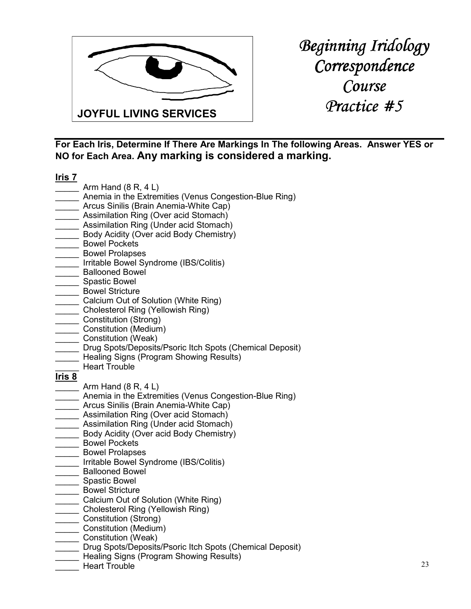

**For Each Iris, Determine If There Are Markings In The following Areas. Answer YES or NO for Each Area. Any marking is considered a marking.**

#### **Iris 7**

- $\Box$  Arm Hand  $(8 R, 4 L)$
- \_\_\_\_\_ Anemia in the Extremities (Venus Congestion-Blue Ring)
- \_\_\_\_\_ Arcus Sinilis (Brain Anemia-White Cap)
- **\_\_\_** Assimilation Ring (Over acid Stomach)
- \_\_\_\_\_ Assimilation Ring (Under acid Stomach)
- Body Acidity (Over acid Body Chemistry)
- \_\_\_\_ Bowel Pockets
- \_\_\_\_\_ Bowel Prolapses
- \_\_\_\_\_ Irritable Bowel Syndrome (IBS/Colitis)
- \_\_\_\_\_ Ballooned Bowel
- \_\_\_\_\_ Spastic Bowel
- \_\_\_\_\_ Bowel Stricture
- **Lacks** Calcium Out of Solution (White Ring)
- \_\_\_\_\_ Cholesterol Ring (Yellowish Ring)
- \_\_\_\_\_ Constitution (Strong)
- \_\_\_\_\_ Constitution (Medium)
- \_\_\_\_\_ Constitution (Weak)
- Drug Spots/Deposits/Psoric Itch Spots (Chemical Deposit)
- \_\_\_\_\_ Healing Signs (Program Showing Results)
- \_\_\_\_\_ Heart Trouble

- Arm Hand  $(8 R, 4 L)$
- Anemia in the Extremities (Venus Congestion-Blue Ring)
- \_\_\_\_\_ Arcus Sinilis (Brain Anemia-White Cap)
- **Assimilation Ring (Over acid Stomach)**
- **Lace Assimilation Ring (Under acid Stomach)**
- \_\_\_\_\_ Body Acidity (Over acid Body Chemistry)
- \_\_\_\_\_ Bowel Pockets
- \_\_\_\_\_ Bowel Prolapses
- \_\_\_\_\_ Irritable Bowel Syndrome (IBS/Colitis)
- \_\_\_\_\_ Ballooned Bowel
- \_\_\_\_\_ Spastic Bowel
- \_ Bowel Stricture
- \_\_\_\_\_ Calcium Out of Solution (White Ring)
- \_\_\_\_\_ Cholesterol Ring (Yellowish Ring)
- \_\_\_\_\_ Constitution (Strong)
- \_\_\_\_ Constitution (Medium)
- \_\_\_\_\_ Constitution (Weak)
- Drug Spots/Deposits/Psoric Itch Spots (Chemical Deposit)
- Healing Signs (Program Showing Results)
- Heart Trouble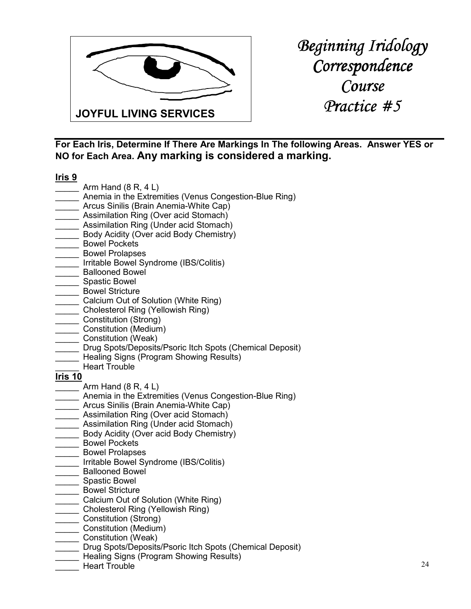

*Beginning Iridology Correspondence Course Practice #5 Practice #5* 

**For Each Iris, Determine If There Are Markings In The following Areas. Answer YES or NO for Each Area. Any marking is considered a marking.**

#### **Iris 9**

- $\frac{1}{2}$  Arm Hand (8 R, 4 L)
- \_\_\_\_\_ Anemia in the Extremities (Venus Congestion-Blue Ring)
- \_\_\_\_\_ Arcus Sinilis (Brain Anemia-White Cap)
- **\_\_\_** Assimilation Ring (Over acid Stomach)
- \_\_\_\_\_ Assimilation Ring (Under acid Stomach)
- Body Acidity (Over acid Body Chemistry)
- \_\_\_\_ Bowel Pockets
- \_\_\_\_\_ Bowel Prolapses
- \_\_\_\_\_ Irritable Bowel Syndrome (IBS/Colitis)
- \_ Ballooned Bowel
- \_\_\_\_\_ Spastic Bowel
- \_\_\_\_\_ Bowel Stricture
- **Calcium Out of Solution (White Ring)**
- \_\_\_\_\_ Cholesterol Ring (Yellowish Ring)
- \_\_\_\_\_ Constitution (Strong)
- \_\_\_\_\_ Constitution (Medium)
- \_\_\_\_\_ Constitution (Weak)
- Drug Spots/Deposits/Psoric Itch Spots (Chemical Deposit)
- Healing Signs (Program Showing Results)
- Heart Trouble

- Arm Hand  $(8 R, 4 L)$
- Anemia in the Extremities (Venus Congestion-Blue Ring)
- \_\_\_\_\_ Arcus Sinilis (Brain Anemia-White Cap)
- **Assimilation Ring (Over acid Stomach)**
- \_\_\_\_\_ Assimilation Ring (Under acid Stomach)
- \_\_\_\_\_ Body Acidity (Over acid Body Chemistry)
- \_\_\_\_\_ Bowel Pockets
- \_\_\_\_\_ Bowel Prolapses
- \_\_\_\_\_ Irritable Bowel Syndrome (IBS/Colitis)
- \_\_\_\_\_ Ballooned Bowel
- \_\_\_\_\_ Spastic Bowel
- \_ Bowel Stricture
- \_\_\_\_\_ Calcium Out of Solution (White Ring)
- \_\_\_\_\_ Cholesterol Ring (Yellowish Ring)
- \_\_\_\_\_ Constitution (Strong)
- \_\_\_\_\_ Constitution (Medium)
- \_\_\_\_\_ Constitution (Weak)
- Drug Spots/Deposits/Psoric Itch Spots (Chemical Deposit)
- Healing Signs (Program Showing Results)
- Heart Trouble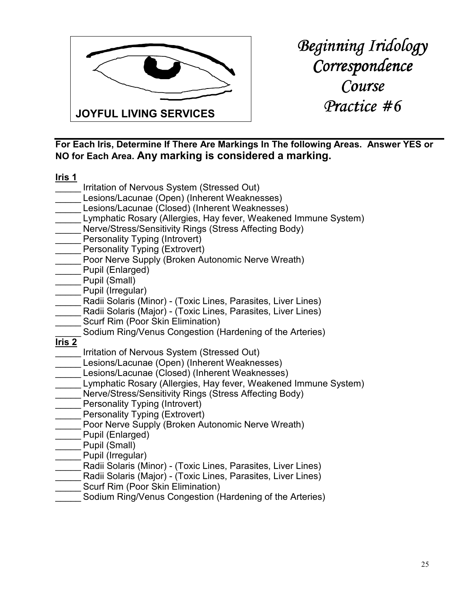

*Beginning Iridology Correspondence Course Practice #6 Practice #6* 

**For Each Iris, Determine If There Are Markings In The following Areas. Answer YES or NO for Each Area. Any marking is considered a marking.**

|               | Irritation of Nervous System (Stressed Out)                     |
|---------------|-----------------------------------------------------------------|
|               | Lesions/Lacunae (Open) (Inherent Weaknesses)                    |
|               | Lesions/Lacunae (Closed) (Inherent Weaknesses)                  |
|               | Lymphatic Rosary (Allergies, Hay fever, Weakened Immune System) |
|               | Nerve/Stress/Sensitivity Rings (Stress Affecting Body)          |
|               | <b>Personality Typing (Introvert)</b>                           |
|               | <b>Personality Typing (Extrovert)</b>                           |
|               | Poor Nerve Supply (Broken Autonomic Nerve Wreath)               |
|               | Pupil (Enlarged)                                                |
|               | Pupil (Small)                                                   |
|               | Pupil (Irregular)                                               |
|               | Radii Solaris (Minor) - (Toxic Lines, Parasites, Liver Lines)   |
|               | Radii Solaris (Major) - (Toxic Lines, Parasites, Liver Lines)   |
|               | Scurf Rim (Poor Skin Elimination)                               |
|               | Sodium Ring/Venus Congestion (Hardening of the Arteries)        |
| <u>Iris 2</u> |                                                                 |
|               | Irritation of Nervous System (Stressed Out)                     |
|               | Lesions/Lacunae (Open) (Inherent Weaknesses)                    |
|               | Lesions/Lacunae (Closed) (Inherent Weaknesses)                  |
|               | Lymphatic Rosary (Allergies, Hay fever, Weakened Immune System) |
|               | Nerve/Stress/Sensitivity Rings (Stress Affecting Body)          |
|               | Personality Typing (Introvert)                                  |
|               | <b>Personality Typing (Extrovert)</b>                           |
|               | Poor Nerve Supply (Broken Autonomic Nerve Wreath)               |
|               | Pupil (Enlarged)                                                |
|               | Pupil (Small)                                                   |
|               | Pupil (Irregular)                                               |
|               | Radii Solaris (Minor) - (Toxic Lines, Parasites, Liver Lines)   |
|               | Radii Solaris (Major) - (Toxic Lines, Parasites, Liver Lines)   |
|               | Scurf Rim (Poor Skin Elimination)                               |
|               | Sodium Ring/Venus Congestion (Hardening of the Arteries)        |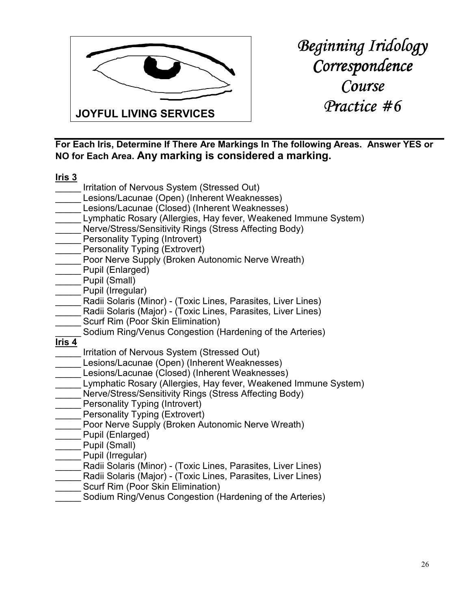

*Beginning Iridology Correspondence Course Practice #6 Practice #6* 

**For Each Iris, Determine If There Are Markings In The following Areas. Answer YES or NO for Each Area. Any marking is considered a marking.**

|                   | Irritation of Nervous System (Stressed Out)                     |
|-------------------|-----------------------------------------------------------------|
|                   | Lesions/Lacunae (Open) (Inherent Weaknesses)                    |
|                   | Lesions/Lacunae (Closed) (Inherent Weaknesses)                  |
|                   | Lymphatic Rosary (Allergies, Hay fever, Weakened Immune System) |
|                   | Nerve/Stress/Sensitivity Rings (Stress Affecting Body)          |
|                   | <b>Personality Typing (Introvert)</b>                           |
|                   | Personality Typing (Extrovert)                                  |
|                   | Poor Nerve Supply (Broken Autonomic Nerve Wreath)               |
|                   | Pupil (Enlarged)                                                |
|                   | Pupil (Small)                                                   |
|                   | Pupil (Irregular)                                               |
|                   | Radii Solaris (Minor) - (Toxic Lines, Parasites, Liver Lines)   |
|                   | Radii Solaris (Major) - (Toxic Lines, Parasites, Liver Lines)   |
|                   | Scurf Rim (Poor Skin Elimination)                               |
|                   | Sodium Ring/Venus Congestion (Hardening of the Arteries)        |
| lris <sub>4</sub> |                                                                 |
|                   | Irritation of Nervous System (Stressed Out)                     |
|                   | Lesions/Lacunae (Open) (Inherent Weaknesses)                    |
|                   | Lesions/Lacunae (Closed) (Inherent Weaknesses)                  |
|                   | Lymphatic Rosary (Allergies, Hay fever, Weakened Immune System) |
|                   | Nerve/Stress/Sensitivity Rings (Stress Affecting Body)          |
|                   | Personality Typing (Introvert)                                  |
|                   | <b>Personality Typing (Extrovert)</b>                           |
|                   | Poor Nerve Supply (Broken Autonomic Nerve Wreath)               |
|                   | Pupil (Enlarged)                                                |
|                   | Pupil (Small)                                                   |
|                   | Pupil (Irregular)                                               |
|                   | Radii Solaris (Minor) - (Toxic Lines, Parasites, Liver Lines)   |
|                   | Radii Solaris (Major) - (Toxic Lines, Parasites, Liver Lines)   |
|                   | Scurf Rim (Poor Skin Elimination)                               |
|                   | Sodium Ring/Venus Congestion (Hardening of the Arteries)        |
|                   |                                                                 |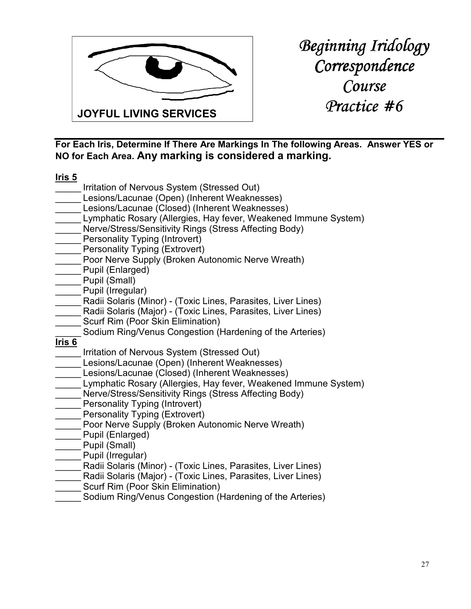

**For Each Iris, Determine If There Are Markings In The following Areas. Answer YES or NO for Each Area. Any marking is considered a marking.**

|                   | Irritation of Nervous System (Stressed Out)                     |
|-------------------|-----------------------------------------------------------------|
|                   | Lesions/Lacunae (Open) (Inherent Weaknesses)                    |
|                   | Lesions/Lacunae (Closed) (Inherent Weaknesses)                  |
|                   | Lymphatic Rosary (Allergies, Hay fever, Weakened Immune System) |
|                   | Nerve/Stress/Sensitivity Rings (Stress Affecting Body)          |
|                   | Personality Typing (Introvert)                                  |
|                   | Personality Typing (Extrovert)                                  |
|                   | Poor Nerve Supply (Broken Autonomic Nerve Wreath)               |
|                   | Pupil (Enlarged)                                                |
|                   | Pupil (Small)                                                   |
|                   | Pupil (Irregular)                                               |
|                   | Radii Solaris (Minor) - (Toxic Lines, Parasites, Liver Lines)   |
|                   | Radii Solaris (Major) - (Toxic Lines, Parasites, Liver Lines)   |
|                   | Scurf Rim (Poor Skin Elimination)                               |
|                   | Sodium Ring/Venus Congestion (Hardening of the Arteries)        |
| Iris <sub>6</sub> |                                                                 |
|                   | Irritation of Nervous System (Stressed Out)                     |
|                   | Lesions/Lacunae (Open) (Inherent Weaknesses)                    |
|                   | Lesions/Lacunae (Closed) (Inherent Weaknesses)                  |
|                   | Lymphatic Rosary (Allergies, Hay fever, Weakened Immune System) |
|                   | Nerve/Stress/Sensitivity Rings (Stress Affecting Body)          |
|                   | Personality Typing (Introvert)                                  |
|                   | <b>Personality Typing (Extrovert)</b>                           |
|                   | Poor Nerve Supply (Broken Autonomic Nerve Wreath)               |
|                   | Pupil (Enlarged)                                                |
|                   | Pupil (Small)                                                   |
|                   | Pupil (Irregular)                                               |
|                   | Radii Solaris (Minor) - (Toxic Lines, Parasites, Liver Lines)   |
|                   | Radii Solaris (Major) - (Toxic Lines, Parasites, Liver Lines)   |
|                   | Scurf Rim (Poor Skin Elimination)                               |
|                   | Sodium Ring/Venus Congestion (Hardening of the Arteries)        |
|                   |                                                                 |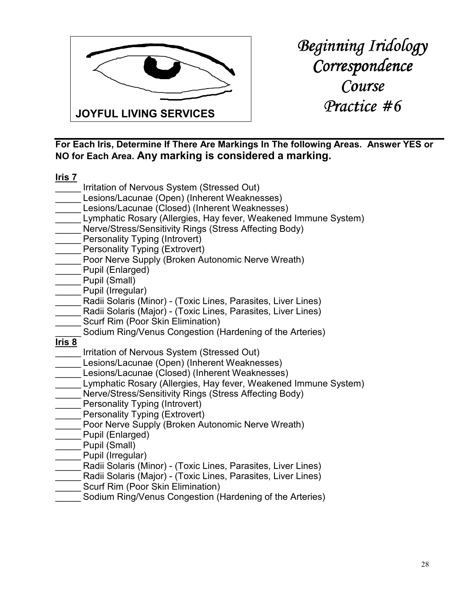

*Beginning Iridology Correspondence Course Practice #6 Practice #6* 

**For Each Iris, Determine If There Are Markings In The following Areas. Answer YES or NO for Each Area. Any marking is considered a marking.**

|               | Irritation of Nervous System (Stressed Out)                     |
|---------------|-----------------------------------------------------------------|
|               | Lesions/Lacunae (Open) (Inherent Weaknesses)                    |
|               | Lesions/Lacunae (Closed) (Inherent Weaknesses)                  |
|               | Lymphatic Rosary (Allergies, Hay fever, Weakened Immune System) |
|               | Nerve/Stress/Sensitivity Rings (Stress Affecting Body)          |
|               | Personality Typing (Introvert)                                  |
|               | <b>Personality Typing (Extrovert)</b>                           |
|               | Poor Nerve Supply (Broken Autonomic Nerve Wreath)               |
|               | Pupil (Enlarged)                                                |
|               | Pupil (Small)                                                   |
|               | Pupil (Irregular)                                               |
|               | Radii Solaris (Minor) - (Toxic Lines, Parasites, Liver Lines)   |
|               | Radii Solaris (Major) - (Toxic Lines, Parasites, Liver Lines)   |
|               | Scurf Rim (Poor Skin Elimination)                               |
|               | Sodium Ring/Venus Congestion (Hardening of the Arteries)        |
| <u>Iris 8</u> |                                                                 |
|               | Irritation of Nervous System (Stressed Out)                     |
|               | Lesions/Lacunae (Open) (Inherent Weaknesses)                    |
|               | Lesions/Lacunae (Closed) (Inherent Weaknesses)                  |
|               | Lymphatic Rosary (Allergies, Hay fever, Weakened Immune System) |
|               | Nerve/Stress/Sensitivity Rings (Stress Affecting Body)          |
|               | Personality Typing (Introvert)                                  |
|               | <b>Personality Typing (Extrovert)</b>                           |
|               | Poor Nerve Supply (Broken Autonomic Nerve Wreath)               |
|               | Pupil (Enlarged)                                                |
|               | Pupil (Small)                                                   |
|               | Pupil (Irregular)                                               |
|               | Radii Solaris (Minor) - (Toxic Lines, Parasites, Liver Lines)   |
|               | Radii Solaris (Major) - (Toxic Lines, Parasites, Liver Lines)   |
|               | Scurf Rim (Poor Skin Elimination)                               |
|               | Sodium Ring/Venus Congestion (Hardening of the Arteries)        |